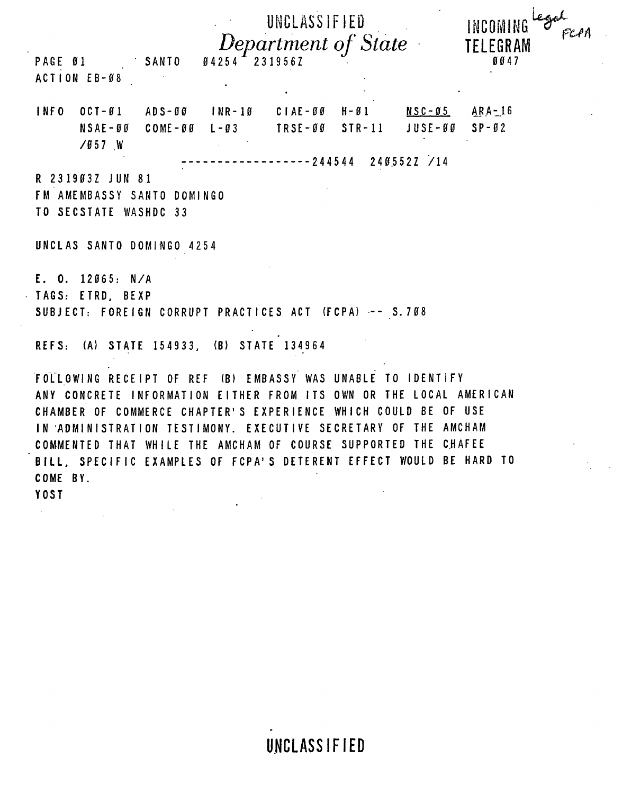| ACTION EB-08                         | PAGE 01 SANTO             | $04254 - 2319562$                        | UNCLASSIFIED<br>Department of State                                                                                                                                                                                                                                                                                                     |                   | ega<br>INCOMING<br>TELEGRAM<br>0047 |
|--------------------------------------|---------------------------|------------------------------------------|-----------------------------------------------------------------------------------------------------------------------------------------------------------------------------------------------------------------------------------------------------------------------------------------------------------------------------------------|-------------------|-------------------------------------|
| INFO                                 | $/057$ W                  |                                          | OCT-01 ADS-00 INR-10 CIAE-00 H-01 NSC-05 ARA-16<br>$NSAE - 00$ $COME - 00$ $L - 03$ $TRSE - 00$ $STR - 11$                                                                                                                                                                                                                              | $JUSE-GO$ $SP-G2$ |                                     |
| R 231903Z JUN 81                     | TO SECSTATE WASHDC 33     | FM AMEMBASSY SANTO DOMINGO               | -----------------244544   2405522        /14                                                                                                                                                                                                                                                                                            |                   |                                     |
|                                      | UNCLAS SANTO DOMINGO 4254 |                                          |                                                                                                                                                                                                                                                                                                                                         |                   |                                     |
| E. O. 12065: N/A<br>TAGS: ETRD, BEXP |                           |                                          | SUBJECT: FOREIGN CORRUPT PRACTICES ACT (FCPA) -- S.708                                                                                                                                                                                                                                                                                  |                   |                                     |
|                                      |                           | REFS: (A) STATE 154933, (B) STATE 134964 |                                                                                                                                                                                                                                                                                                                                         |                   |                                     |
|                                      |                           |                                          | FOLLOWING RECEIPT OF REF (B) EMBASSY WAS UNABLE TO IDENTIFY<br>ANY CONCRETE INFORMATION EITHER FROM ITS OWN OR THE LOCAL AMERICAN<br>CHAMBER OF COMMERCE CHAPTER'S EXPERIENCE WHICH COULD BE OF USE<br>IN ADMINISTRATION TESTIMONY. EXECUTIVE SECRETARY OF THE AMCHAM<br>COMMENTED THAT WHILE THE AMCHAM OF COURSE SUPPORTED THE CHAFEE |                   |                                     |
| COME BY.                             |                           |                                          | BILL. SPECIFIC EXAMPLES OF FCPA'S DETERENT EFFECT WOULD BE HARD TO                                                                                                                                                                                                                                                                      |                   |                                     |

 $\bar{\mathbf{r}}$ 

 $\sim 100$ 

YOST

 $\label{eq:2.1} \mathcal{L}(\mathcal{L}_{\mathcal{A}}) = \mathcal{L}(\mathcal{L}_{\mathcal{A}}) \otimes \mathcal{L}(\mathcal{L}_{\mathcal{A}})$ 

**UNCLASSIFIED** 

 $\sim$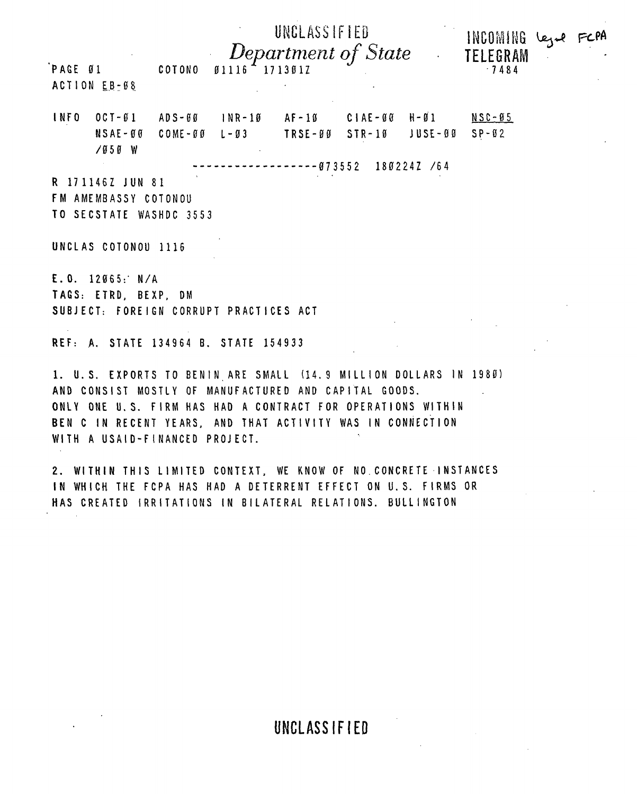| PAGE 01     | ACTION EB-08                                                                                              | COTONO                 | Ø1116                            | UNCLASSIFIED<br>Department of State<br>1713017 |                           | $\mathcal{L}^{\mathcal{L}}$ | INCOMING legal FCPA<br>TELEGRAM<br>$-7484$ |  |
|-------------|-----------------------------------------------------------------------------------------------------------|------------------------|----------------------------------|------------------------------------------------|---------------------------|-----------------------------|--------------------------------------------|--|
| <b>INFO</b> | $OCI - 01$<br>$NSAE - 00$<br>/050 W                                                                       | ADS-00<br>$COME - 0.0$ | $1$ NR-10<br>$L - \varnothing 3$ | AF-10 CIAE-00 H-01<br>TRSE-00 STR-10           | $--- 973552 1802242 / 64$ | JUSE-00                     | $NSC-05$<br>$SP-02$                        |  |
|             | R 171146Z JUN 81<br>FM AMEMBASSY COTONOU<br>TO SECSTATE WASHDC 3553                                       |                        |                                  |                                                |                           |                             |                                            |  |
|             | UNCLAS COTONOU 1116<br>E. 0. 12065: N/A<br>TAGS: ETRD, BEXP, DM<br>SUBJECT: FOREIGN CORRUPT PRACTICES ACT |                        |                                  |                                                |                           |                             |                                            |  |
|             | REF: A. STATE 134964 B. STATE                                                                             |                        |                                  | 154933                                         |                           |                             |                                            |  |

1. U.S. EXPORTS TO BENIN ARE SMALL (14.9 MILLION DOLLARS IN 1980) AND CONSIST MOSTLY OF MANUFACTURED AND CAPITAL GOODS. ONLY ONE U.S. FIRM HAS HAD A CONTRACT FOR OPERATIONS WITHIN BEN C IN RECENT YEARS, AND THAT ACTIVITY WAS IN CONNECTION WITH A USAID-FINANCED PROJECT.

2. WITHIN THIS LIMITED CONTEXT, WE KNOW OF NO CONCRETE INSTANCES IN WHICH THE FCPA HAS HAD A DETERRENT EFFECT ON U.S. FIRMS OR HAS CREATED IRRITATIONS IN BILATERAL RELATIONS. BULLINGTON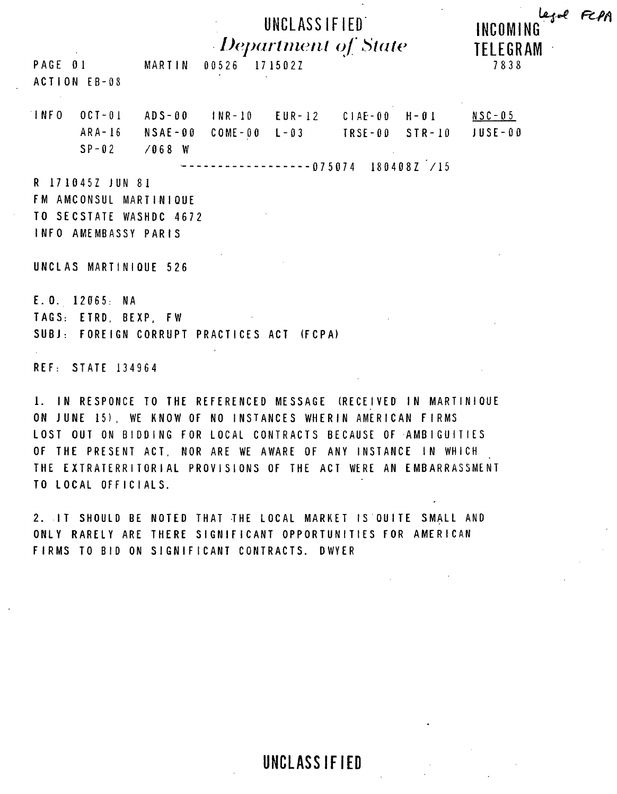## UNCLASSIFIED Department of State

PAGE 01 MARTIN 00526 1715022 ACTION EB-08

**TFLEGRAM** 7838

INCOMING

|              | $INFO$ $OCI-01$ $ADS-00$ $INR-10$ $EUR-12$ $CIAE-00$ $H-G1$ $NSC-05$           |  |  |  |
|--------------|--------------------------------------------------------------------------------|--|--|--|
|              | $ARA - 16$ $NSAE - 99$ $COME - 90$ $L - 93$ $TRSE - 99$ $STR - 10$ $JUSE - 99$ |  |  |  |
| SP-02 /068 W |                                                                                |  |  |  |

 $------075074$  180408Z /15

R 1710457 JUN 81 FM AMCONSUL MARTINIQUE TO SECSTATE WASHDC 4672 INFO AMEMBASSY PARIS

UNCLAS MARTINIQUE 526

E.O. 12065: NA TAGS: ETRD, BEXP, FW SUBJ: FOREIGN CORRUPT PRACTICES ACT (FCPA)

REF: STATE 134964

1. IN RESPONCE TO THE REFERENCED MESSAGE (RECEIVED IN MARTINIQUE ON JUNE 15), WE KNOW OF NO INSTANCES WHERIN AMERICAN FIRMS LOST OUT ON BIDDING FOR LOCAL CONTRACTS BECAUSE OF AMBIGUITIES OF THE PRESENT ACT. NOR ARE WE AWARE OF ANY INSTANCE IN WHICH THE EXTRATERRITORIAL PROVISIONS OF THE ACT WERE AN EMBARRASSMENT TO LOCAL OFFICIALS.

2. IT SHOULD BE NOTED THAT THE LOCAL MARKET IS OUITE SMALL AND ONLY RARELY ARE THERE SIGNIFICANT OPPORTUNITIES FOR AMERICAN FIRMS TO BID ON SIGNIFICANT CONTRACTS. DWYER

**UNCLASSIFIFD**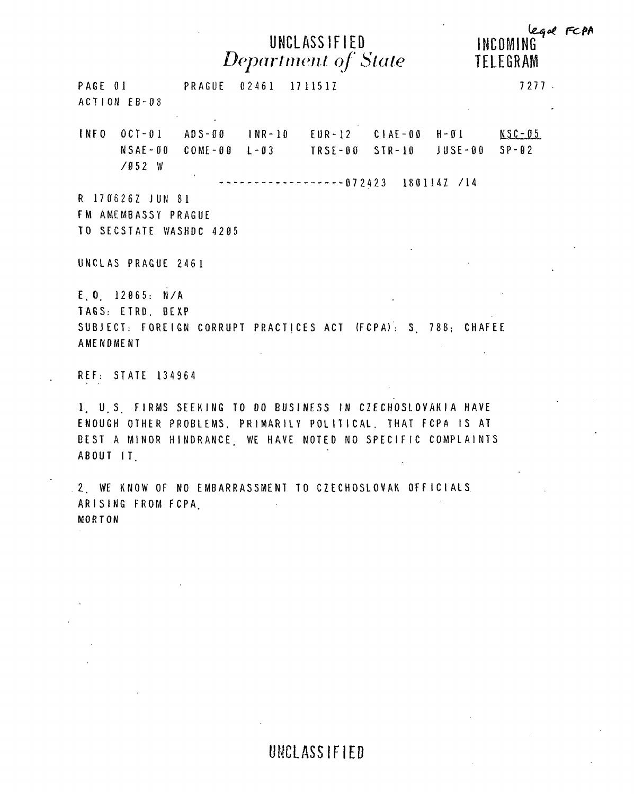## UNCLASSIFIED Department of State

legal FCPA INCOMING TELEGRAM

|                  | PAGE 01 PRAGUE 02461 1711517<br>ACTION EB-08 |  |                                                                                                                                       |  | 7277 |
|------------------|----------------------------------------------|--|---------------------------------------------------------------------------------------------------------------------------------------|--|------|
|                  |                                              |  | INFO OCT-01 ADS-00 INR-10 EUR-12 CIAE-00 H-01 NSC-05<br>$NSAE - 00$ $COME - 00$ $L - 03$ $TRSE - 00$ $STR - 10$ $JUSE - 00$ $SP - 02$ |  |      |
|                  | $/052$ W                                     |  | $-$ ------------------072423 1801147 /14                                                                                              |  |      |
|                  | R 1706262 JUN 81                             |  |                                                                                                                                       |  |      |
|                  | FM AMEMBASSY PRAGUE                          |  |                                                                                                                                       |  |      |
|                  | TO SECSTATE WASHDC 4205                      |  |                                                                                                                                       |  |      |
|                  | UNCLAS PRAGUE 2461                           |  |                                                                                                                                       |  |      |
|                  | $E$ , 0, 12065: N/A                          |  |                                                                                                                                       |  |      |
|                  | TAGS: ETRD. BEXP                             |  |                                                                                                                                       |  |      |
|                  |                                              |  | SUBJECT: FOREIGN CORRUPT PRACTICES ACT (FCPA): S 788; CHAFEE                                                                          |  |      |
| <b>AMENDMENT</b> |                                              |  |                                                                                                                                       |  |      |
|                  | REF: STATE 134964                            |  |                                                                                                                                       |  |      |

1. U.S. FIRMS SEEKING TO DO BUSINESS IN CZECHOSLOVAKIA HAVE ENOUGH OTHER PROBLEMS. PRIMARILY POLITICAL. THAT FCPA IS AT BEST A MINOR HINDRANCE, WE HAVE NOTED NO SPECIFIC COMPLAINTS ABOUT IT

2. WE KNOW OF NO EMBARRASSMENT TO CZECHOSLOVAK OFFICIALS ARISING FROM FCPA. MORTON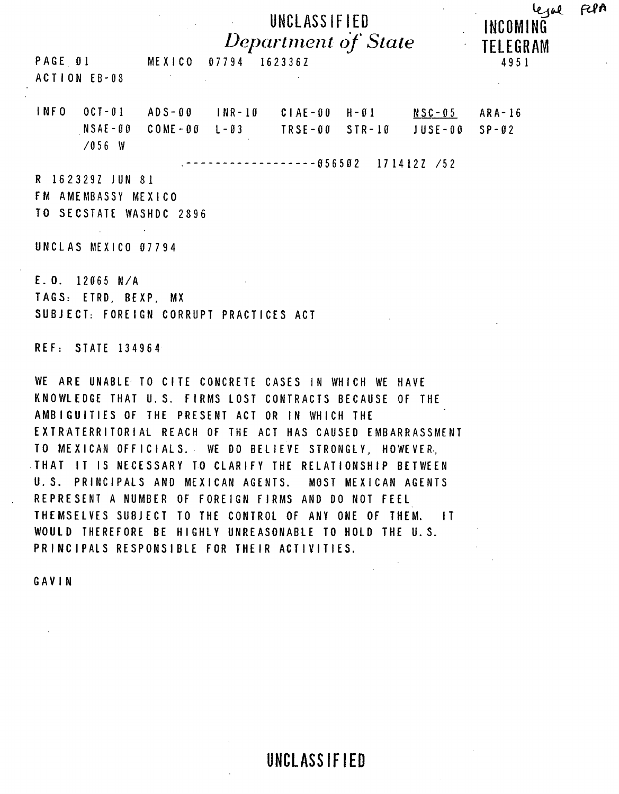UNCLASSIFIED INCOMING Department of State TELEGRAM 07794 1623367

FLPA

لوحده

4951

PAGE 01 MEXICO ACTION EB-08

INFO  $OCI - 01$   $ADS - 00$   $INR - 10$   $CIAE - 00$   $H - 01$  $NSC - 05$  $ARA-16$  $NSAE - BO$   $COME - BO$   $L - B3$ TRSE-00 STR-10  $JUSE - 0.0$  $SP - 02$  $\angle$ 056 W

 $--------056502$  1714127 /52

R 162329Z JUN 81 FM AMEMBASSY MEXICO TO SECSTATE WASHDC 2896

UNCLAS MEXICO 07794

E.O. 12065 N/A TAGS: ETRD, BEXP, MX SUBJECT: FOREIGN CORRUPT PRACTICES ACT

REF: STATE 134964

WE ARE UNABLE TO CITE CONCRETE CASES IN WHICH WE HAVE KNOWLEDGE THAT U.S. FIRMS LOST CONTRACTS BECAUSE OF THE AMBIGUITIES OF THE PRESENT ACT OR IN WHICH THE EXTRATERRITORIAL REACH OF THE ACT HAS CAUSED EMBARRASSMENT TO MEXICAN OFFICIALS. WE DO BELIEVE STRONGLY, HOWEVER, THAT IT IS NECESSARY TO CLARIFY THE RELATIONSHIP BETWEEN U.S. PRINCIPALS AND MEXICAN AGENTS. MOST MEXICAN AGENTS REPRESENT A NUMBER OF FOREIGN FIRMS AND DO NOT FEEL THEMSELVES SUBJECT TO THE CONTROL OF ANY ONE OF THEM. IT WOULD THEREFORE BE HIGHLY UNREASONABLE TO HOLD THE U.S. PRINCIPALS RESPONSIBLE FOR THEIR ACTIVITIES.

GAVIN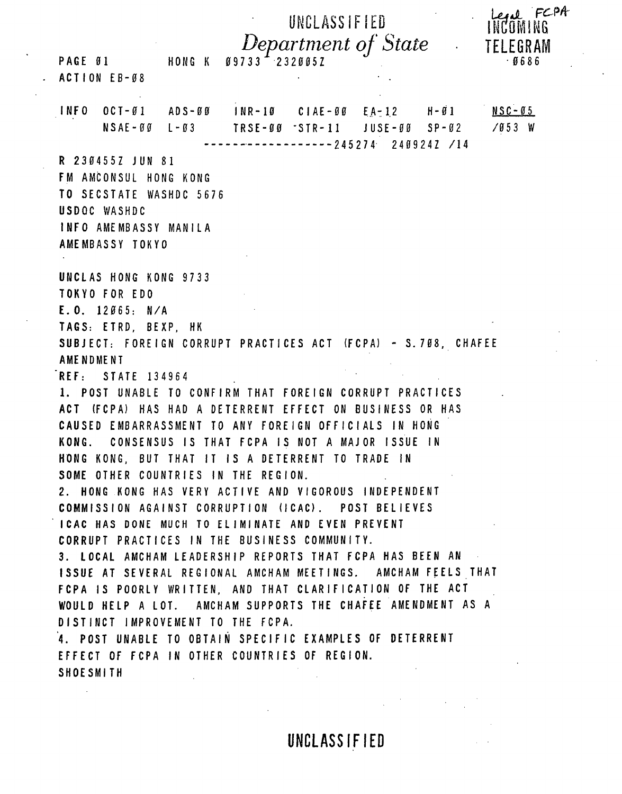UNCLASSIFIED Department of State PAGE 01 HONG K  $09733 - 2320052$ ACTION EB-08 INFO OCT-01 ADS-00 INR-10 CIAE-00 EA-12 H-01  $NSC - 05$ TRSE-00 -STR-11 JUSE-00 SP-02  $\sqrt{053}$  W  $NSAE - BG$   $L - B3$  $--------2452742409247/14$ R 2304557 JUN 81 FM AMCONSUL HONG KONG TO SECSTATE WASHDC 5676 USDOC WASHDC **INFO AMEMBASSY MANILA** AMEMBASSY TOKYO UNCLAS HONG KONG 9733 **TOKYO FOR EDO**  $E. 0. 12065: N/A$ TAGS: ETRD. BEXP. HK SUBJECT: FOREIGN CORRUPT PRACTICES ACT (FCPA) - S. 708, CHAFEE **AMENDMENT** REF: STATE 134964 1. POST UNABLE TO CONFIRM THAT FOREIGN CORRUPT PRACTICES ACT (FCPA) HAS HAD A DETERRENT EFFECT ON BUSINESS OR HAS CAUSED EMBARRASSMENT TO ANY FOREIGN OFFICIALS IN HONG KONG. CONSENSUS IS THAT FCPA IS NOT A MAJOR ISSUE IN HONG KONG. BUT THAT IT IS A DETERRENT TO TRADE IN SOME OTHER COUNTRIES IN THE REGION. 2. HONG KONG HAS VERY ACTIVE AND VIGOROUS INDEPENDENT COMMISSION AGAINST CORRUPTION (ICAC). POST BELIEVES **ICAC HAS DONE MUCH TO ELIMINATE AND EVEN PREVENT** CORRUPT PRACTICES IN THE BUSINESS COMMUNITY. 3. LOCAL AMCHAM LEADERSHIP REPORTS THAT FCPA HAS BEEN AN ISSUE AT SEVERAL REGIONAL AMCHAM MEETINGS. AMCHAM FEELS THAT FCPA IS POORLY WRITTEN, AND THAT CLARIFICATION OF THE ACT WOULD HELP A LOT. AMCHAM SUPPORTS THE CHAFEE AMENDMENT AS A DISTINCT IMPROVEMENT TO THE FCPA. 4. POST UNABLE TO OBTAIN SPECIFIC EXAMPLES OF DETERRENT EFFECT OF FCPA IN OTHER COUNTRIES OF REGION. **SHOESMITH** 

UNCLASSIFIED